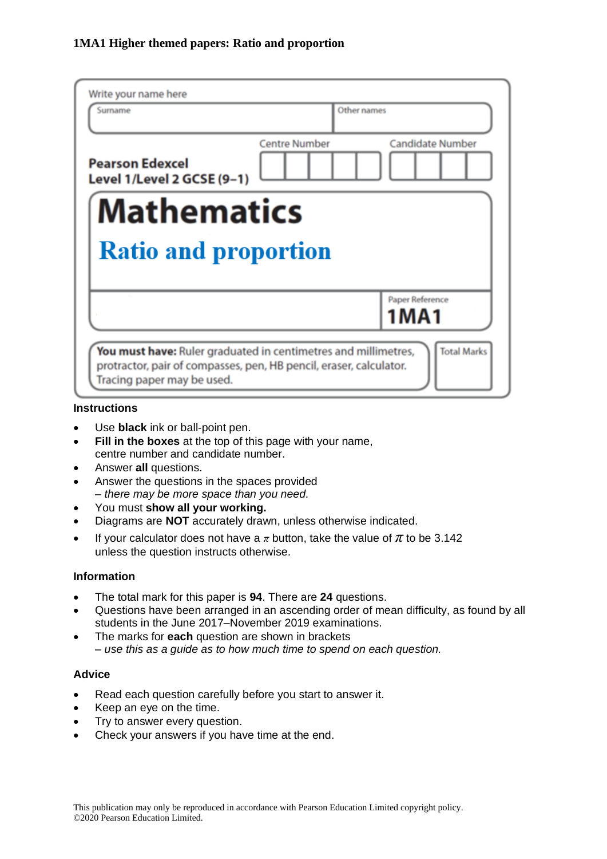| Write your name here<br>Surname                                                                                                                                                          | Other names          |                         |  |  |
|------------------------------------------------------------------------------------------------------------------------------------------------------------------------------------------|----------------------|-------------------------|--|--|
| <b>Pearson Edexcel</b><br>Level 1/Level 2 GCSE (9-1)                                                                                                                                     | <b>Centre Number</b> | <b>Candidate Number</b> |  |  |
| <b>Mathematics</b>                                                                                                                                                                       |                      |                         |  |  |
| <b>Ratio and proportion</b><br>Paper Reference                                                                                                                                           |                      |                         |  |  |
|                                                                                                                                                                                          |                      | 1MA1                    |  |  |
| <b>Total Marks</b><br>You must have: Ruler graduated in centimetres and millimetres,<br>protractor, pair of compasses, pen, HB pencil, eraser, calculator.<br>Tracing paper may be used. |                      |                         |  |  |

#### **Instructions**

- Use **black** ink or ball-point pen.
- **Fill in the boxes** at the top of this page with your name, centre number and candidate number.
- Answer **all** questions.
- Answer the questions in the spaces provided *– there may be more space than you need.*
- You must **show all your working.**
- Diagrams are **NOT** accurately drawn, unless otherwise indicated.
- If your calculator does not have a  $\pi$  button, take the value of  $\pi$  to be 3.142 unless the question instructs otherwise.

#### **Information**

- The total mark for this paper is **94**. There are **24** questions.
- Questions have been arranged in an ascending order of mean difficulty, as found by all students in the June 2017–November 2019 examinations.
- The marks for **each** question are shown in brackets *– use this as a guide as to how much time to spend on each question.*

#### **Advice**

- Read each question carefully before you start to answer it.
- Keep an eye on the time.
- Try to answer every question.
- Check your answers if you have time at the end.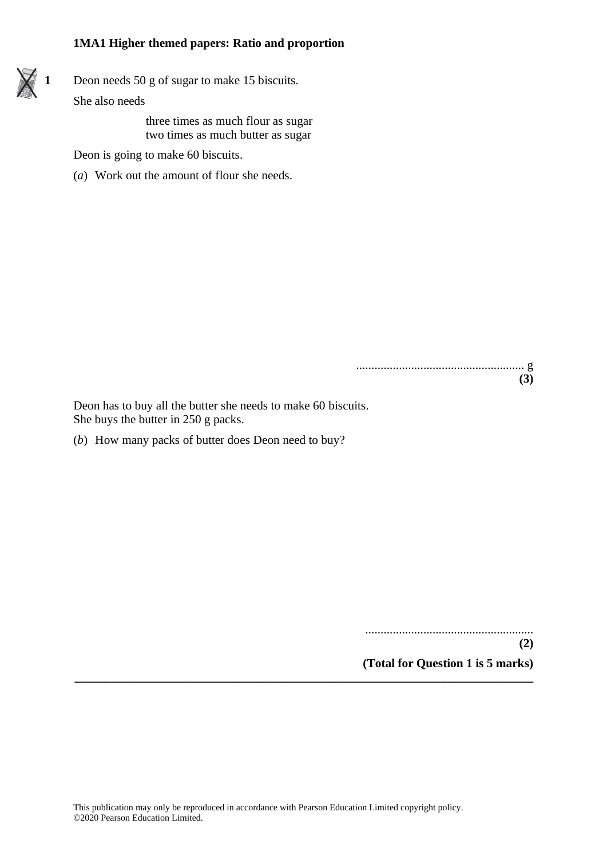**1** Deon needs 50 g of sugar to make 15 biscuits.

She also needs

three times as much flour as sugar two times as much butter as sugar

Deon is going to make 60 biscuits.

(*a*) Work out the amount of flour she needs.

....................................................... g **(3)**

Deon has to buy all the butter she needs to make 60 biscuits. She buys the butter in 250 g packs.

(*b*) How many packs of butter does Deon need to buy?

....................................................... **(2) (Total for Question 1 is 5 marks)**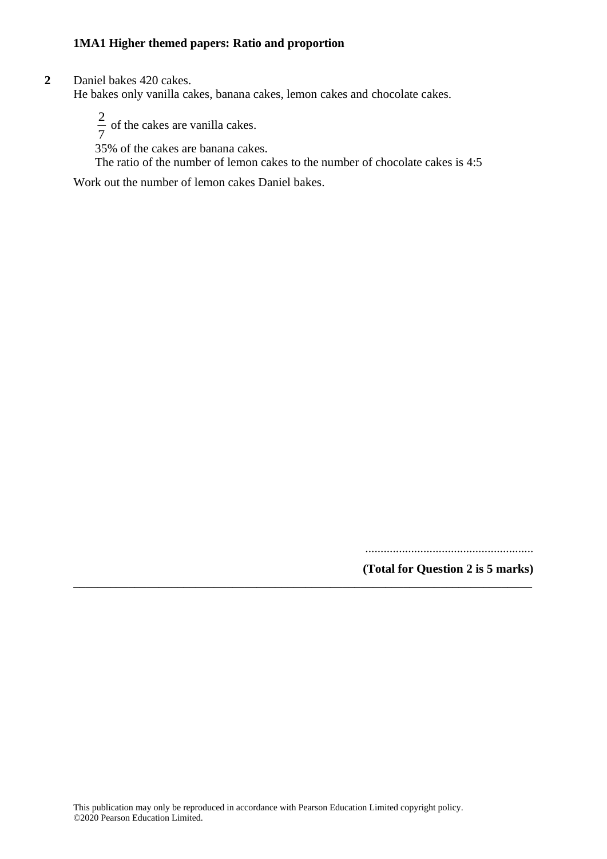**2** Daniel bakes 420 cakes.

He bakes only vanilla cakes, banana cakes, lemon cakes and chocolate cakes.

2  $\frac{2}{7}$  of the cakes are vanilla cakes.

35% of the cakes are banana cakes.

The ratio of the number of lemon cakes to the number of chocolate cakes is 4:5

Work out the number of lemon cakes Daniel bakes.

.......................................................

**(Total for Question 2 is 5 marks)**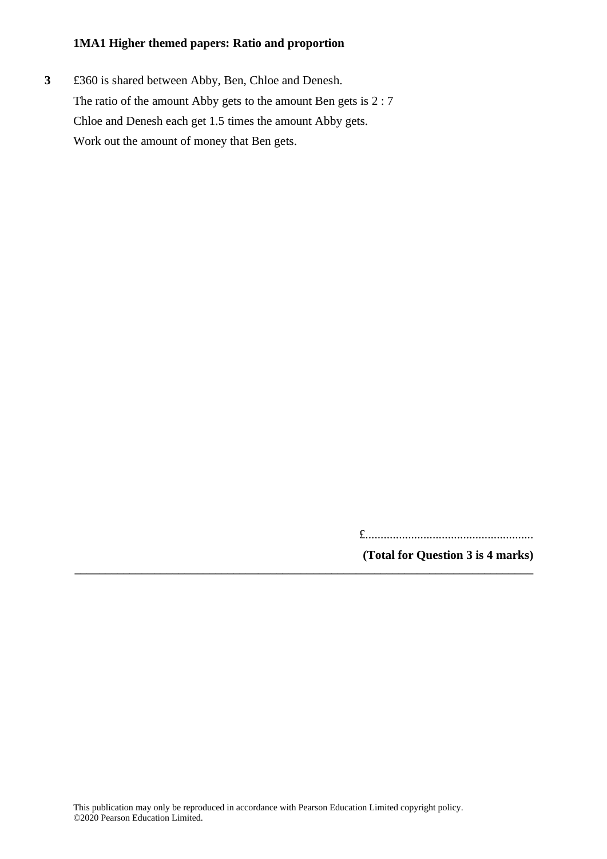**3** £360 is shared between Abby, Ben, Chloe and Denesh. The ratio of the amount Abby gets to the amount Ben gets is 2 : 7 Chloe and Denesh each get 1.5 times the amount Abby gets. Work out the amount of money that Ben gets.

£.......................................................

**(Total for Question 3 is 4 marks) \_\_\_\_\_\_\_\_\_\_\_\_\_\_\_\_\_\_\_\_\_\_\_\_\_\_\_\_\_\_\_\_\_\_\_\_\_\_\_\_\_\_\_\_\_\_\_\_\_\_\_\_\_\_\_\_\_\_\_\_\_\_\_\_\_\_\_\_\_\_\_\_\_\_\_**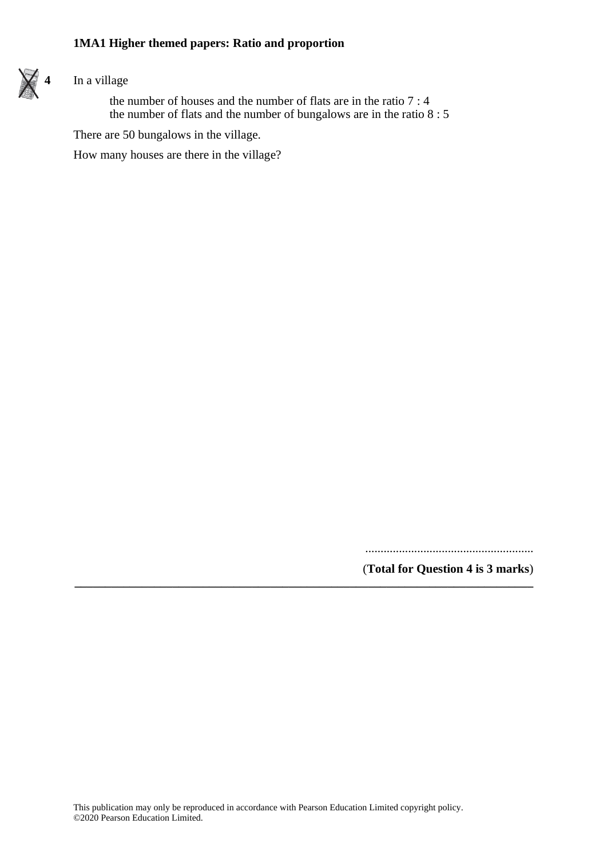

# **4** In a village

the number of houses and the number of flats are in the ratio 7 : 4 the number of flats and the number of bungalows are in the ratio 8 : 5

There are 50 bungalows in the village.

How many houses are there in the village?

.......................................................

(**Total for Question 4 is 3 marks**)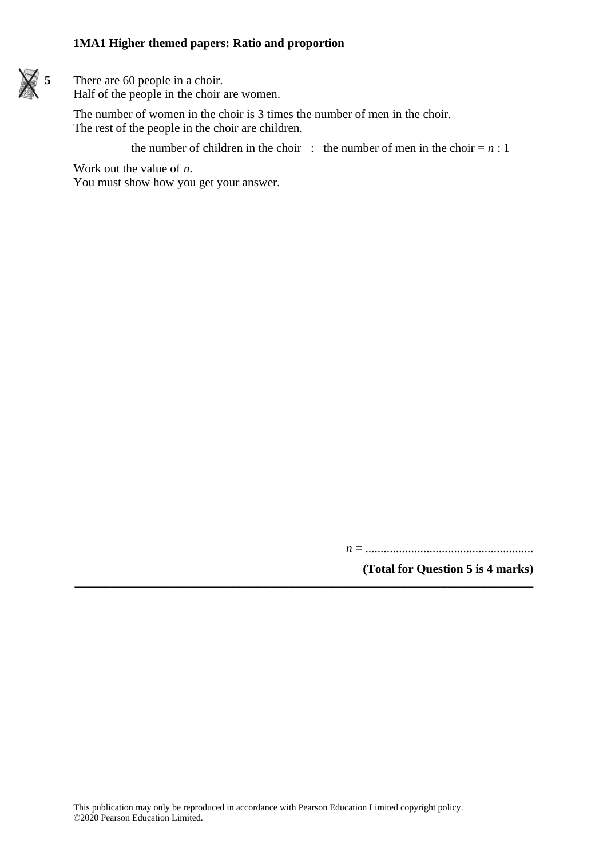

**5** There are 60 people in a choir. Half of the people in the choir are women.

> The number of women in the choir is 3 times the number of men in the choir. The rest of the people in the choir are children.

> > the number of children in the choir : the number of men in the choir  $= n : 1$

Work out the value of *n*.

You must show how you get your answer.

*n* = .......................................................

**(Total for Question 5 is 4 marks)**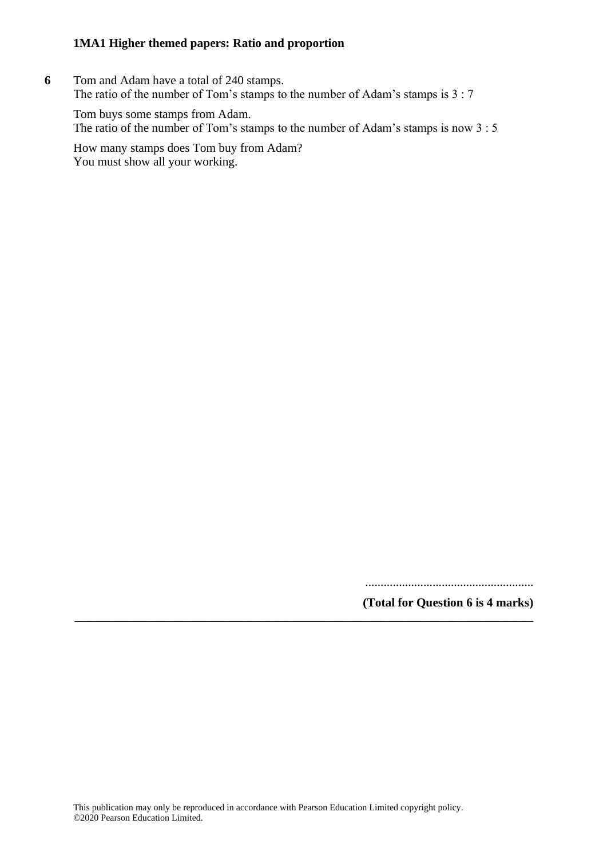**6** Tom and Adam have a total of 240 stamps. The ratio of the number of Tom's stamps to the number of Adam's stamps is 3 : 7

Tom buys some stamps from Adam. The ratio of the number of Tom's stamps to the number of Adam's stamps is now 3 : 5

How many stamps does Tom buy from Adam? You must show all your working.

.......................................................

**(Total for Question 6 is 4 marks)**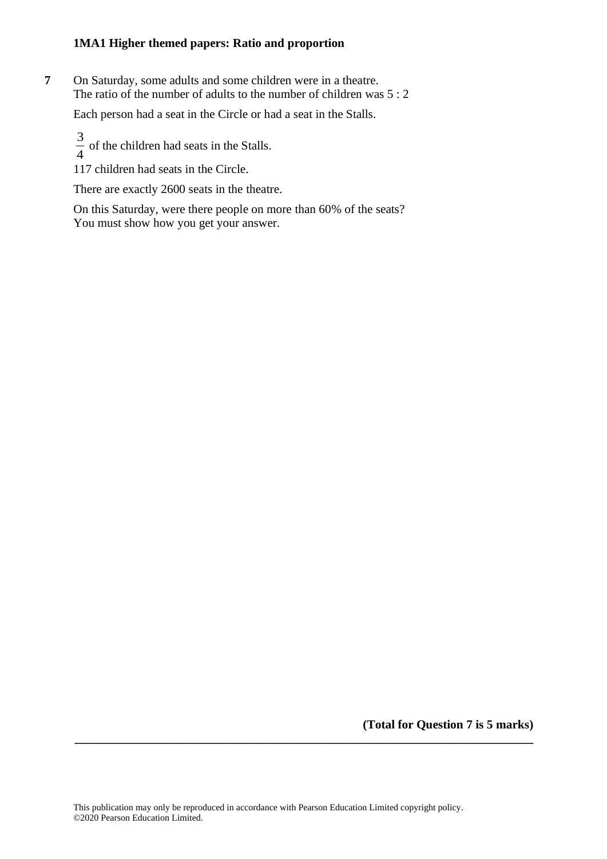**7** On Saturday, some adults and some children were in a theatre. The ratio of the number of adults to the number of children was 5 : 2

Each person had a seat in the Circle or had a seat in the Stalls.

3  $\frac{3}{4}$  of the children had seats in the Stalls.

117 children had seats in the Circle.

There are exactly 2600 seats in the theatre.

On this Saturday, were there people on more than 60% of the seats? You must show how you get your answer.

**(Total for Question 7 is 5 marks)**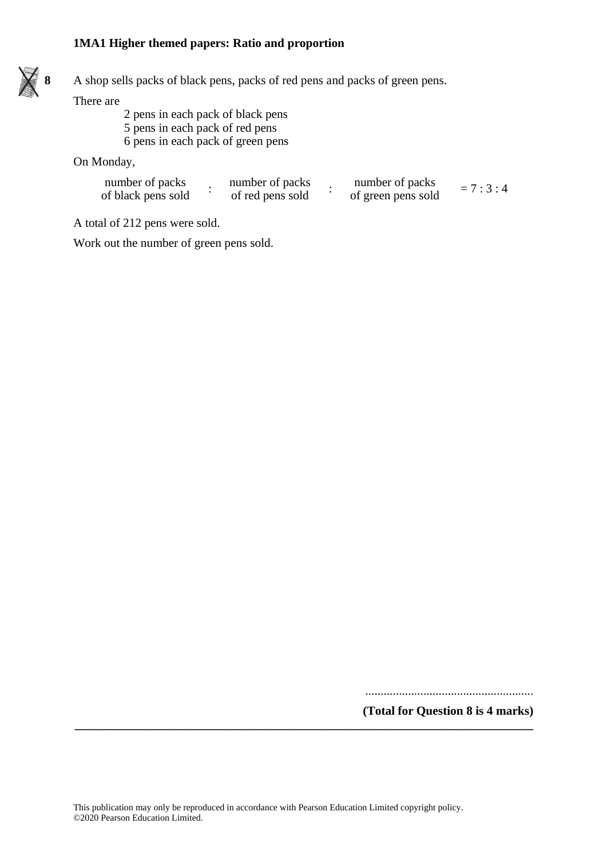

**8** A shop sells packs of black pens, packs of red pens and packs of green pens.

There are

2 pens in each pack of black pens 5 pens in each pack of red pens 6 pens in each pack of green pens

On Monday,

| number of packs    | number of packs  | number of packs    | $= 7:3:4$ |
|--------------------|------------------|--------------------|-----------|
| of black pens sold | of red pens sold | of green pens sold |           |

A total of 212 pens were sold.

Work out the number of green pens sold.

.......................................................

**(Total for Question 8 is 4 marks) \_\_\_\_\_\_\_\_\_\_\_\_\_\_\_\_\_\_\_\_\_\_\_\_\_\_\_\_\_\_\_\_\_\_\_\_\_\_\_\_\_\_\_\_\_\_\_\_\_\_\_\_\_\_\_\_\_\_\_\_\_\_\_\_\_\_\_\_\_\_\_\_\_\_\_**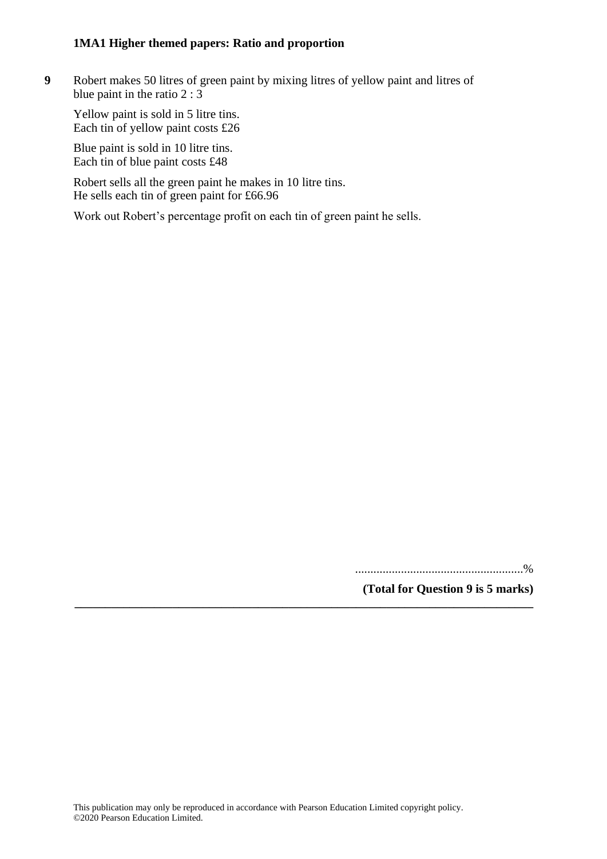**9** Robert makes 50 litres of green paint by mixing litres of yellow paint and litres of blue paint in the ratio 2 : 3

Yellow paint is sold in 5 litre tins. Each tin of yellow paint costs £26

Blue paint is sold in 10 litre tins. Each tin of blue paint costs £48

Robert sells all the green paint he makes in 10 litre tins. He sells each tin of green paint for £66.96

Work out Robert's percentage profit on each tin of green paint he sells.

.......................................................%

**(Total for Question 9 is 5 marks)**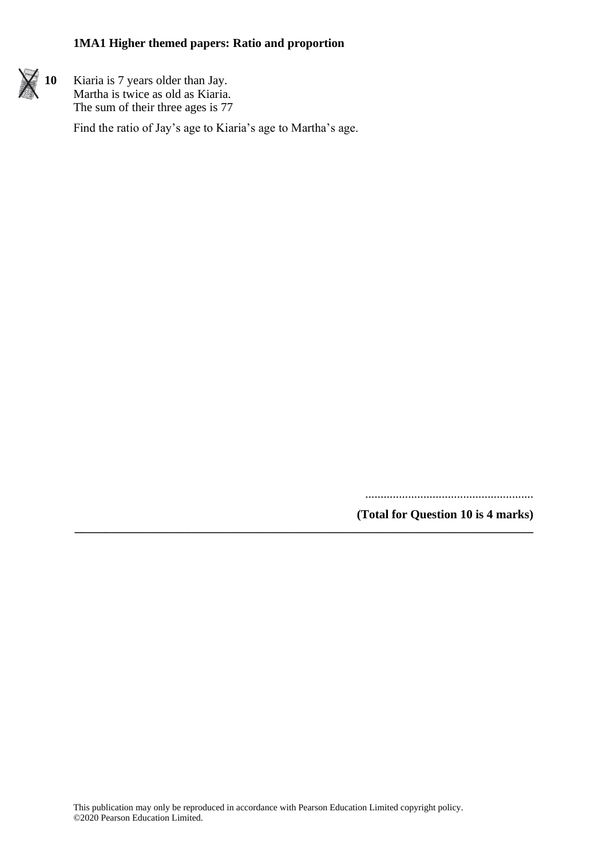

**10** Kiaria is 7 years older than Jay. Martha is twice as old as Kiaria. The sum of their three ages is 77

Find the ratio of Jay's age to Kiaria's age to Martha's age.

.......................................................

**(Total for Question 10 is 4 marks) \_\_\_\_\_\_\_\_\_\_\_\_\_\_\_\_\_\_\_\_\_\_\_\_\_\_\_\_\_\_\_\_\_\_\_\_\_\_\_\_\_\_\_\_\_\_\_\_\_\_\_\_\_\_\_\_\_\_\_\_\_\_\_\_\_\_\_\_\_\_\_\_\_\_\_**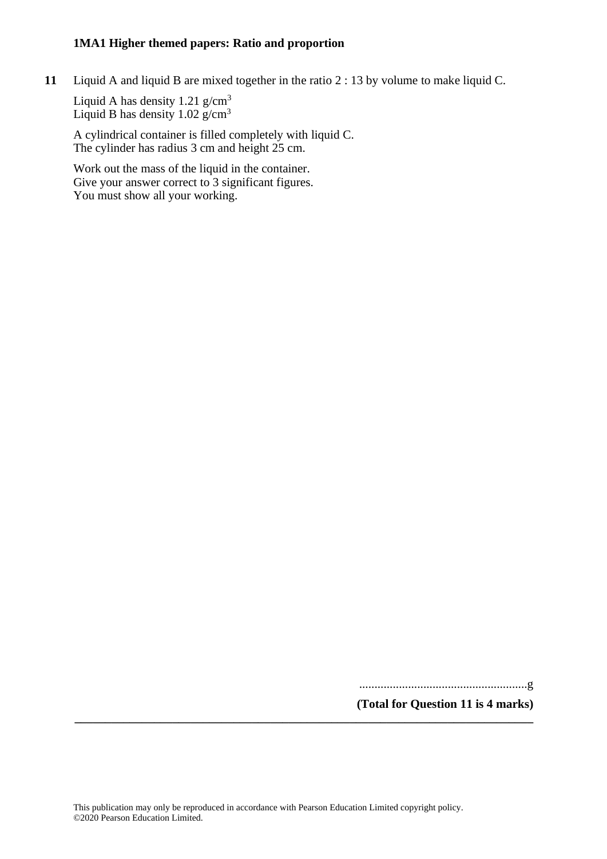**11** Liquid A and liquid B are mixed together in the ratio 2 : 13 by volume to make liquid C.

Liquid A has density  $1.21$  g/cm<sup>3</sup> Liquid B has density  $1.02$  g/cm<sup>3</sup>

A cylindrical container is filled completely with liquid C. The cylinder has radius 3 cm and height 25 cm.

Work out the mass of the liquid in the container. Give your answer correct to 3 significant figures. You must show all your working.

.......................................................g

**(Total for Question 11 is 4 marks)**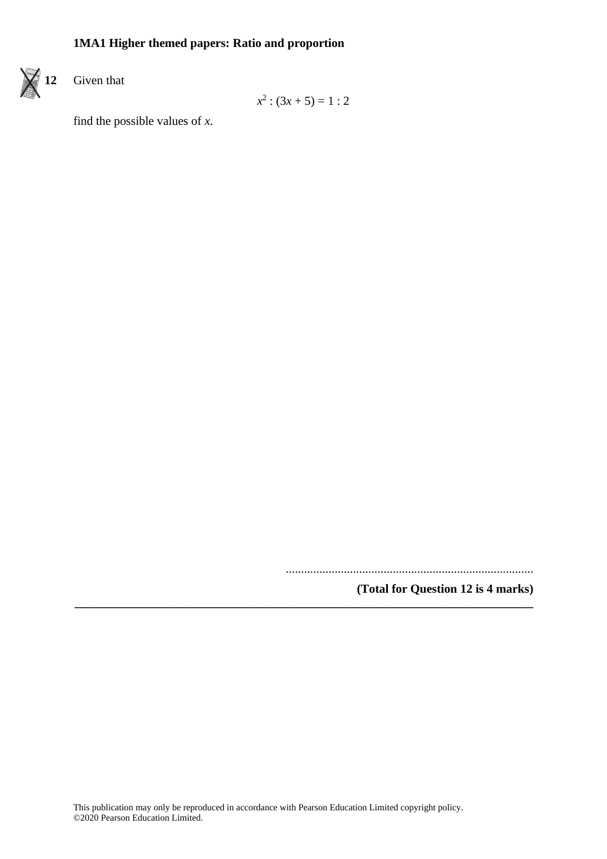

$$
x^2:(3x+5)=1:2
$$

find the possible values of *x*.

.................................................................................

**(Total for Question 12 is 4 marks) \_\_\_\_\_\_\_\_\_\_\_\_\_\_\_\_\_\_\_\_\_\_\_\_\_\_\_\_\_\_\_\_\_\_\_\_\_\_\_\_\_\_\_\_\_\_\_\_\_\_\_\_\_\_\_\_\_\_\_\_\_\_\_\_\_\_\_\_\_\_\_\_\_\_\_**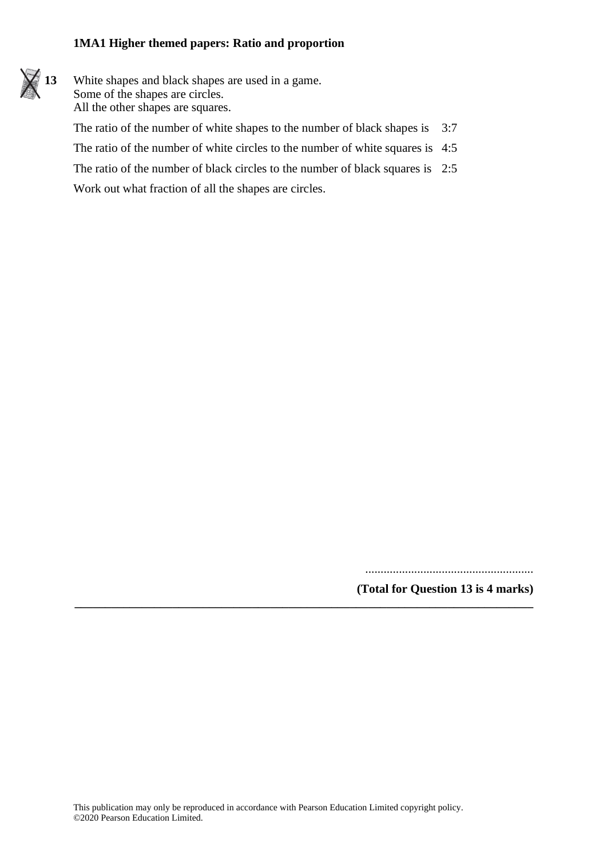

The ratio of the number of white circles to the number of white squares is 4:5

The ratio of the number of black circles to the number of black squares is 2:5 Work out what fraction of all the shapes are circles.

.......................................................

**(Total for Question 13 is 4 marks)**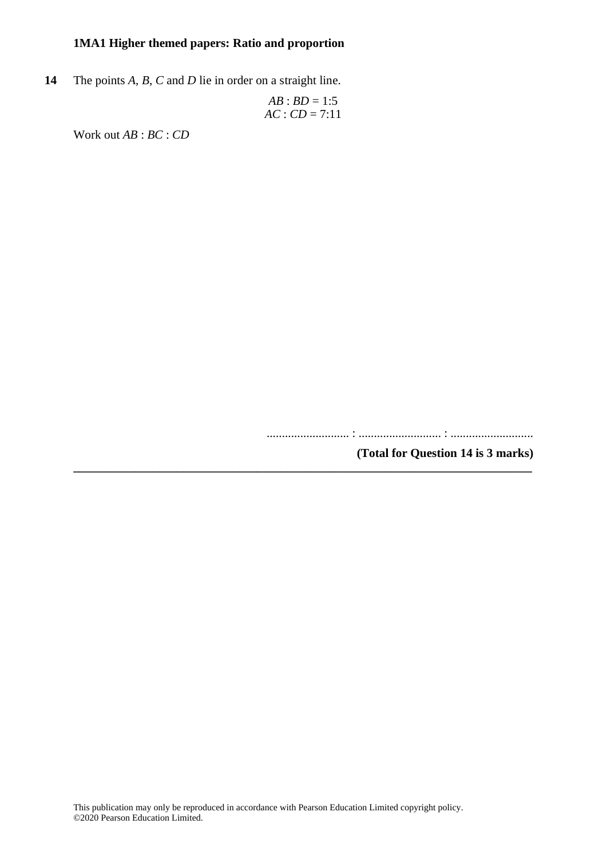**14** The points *A*, *B*, *C* and *D* lie in order on a straight line.

$$
AB : BD = 1:5
$$
  
AC : CD = 7:11

Work out *AB* : *BC* : *CD*

........................... : ........................... : ...........................

**(Total for Question 14 is 3 marks) \_\_\_\_\_\_\_\_\_\_\_\_\_\_\_\_\_\_\_\_\_\_\_\_\_\_\_\_\_\_\_\_\_\_\_\_\_\_\_\_\_\_\_\_\_\_\_\_\_\_\_\_\_\_\_\_\_\_\_\_\_\_\_\_\_\_\_\_\_\_\_\_\_\_\_**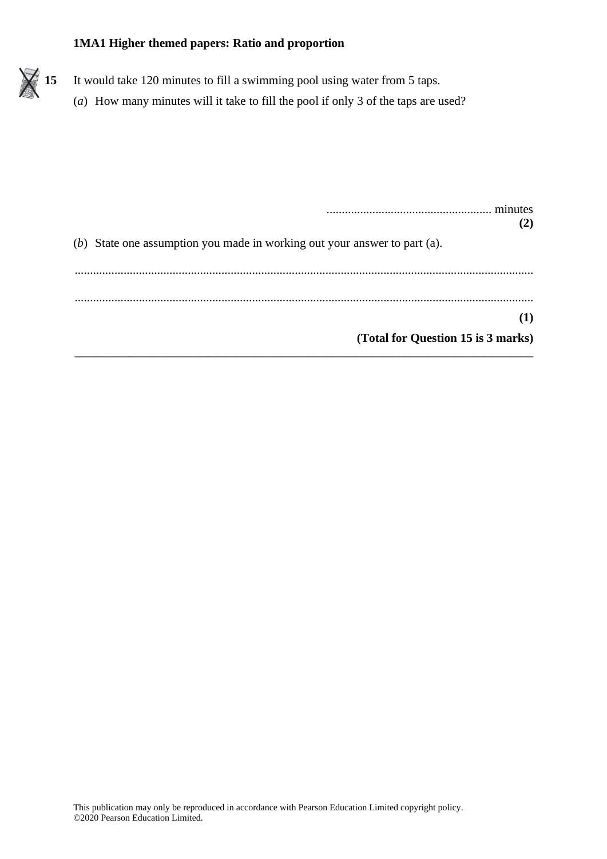

| minutes<br>(2)                                                            |
|---------------------------------------------------------------------------|
| (b) State one assumption you made in working out your answer to part (a). |
|                                                                           |
| $\bf(1)$                                                                  |
| (Total for Question 15 is 3 marks)                                        |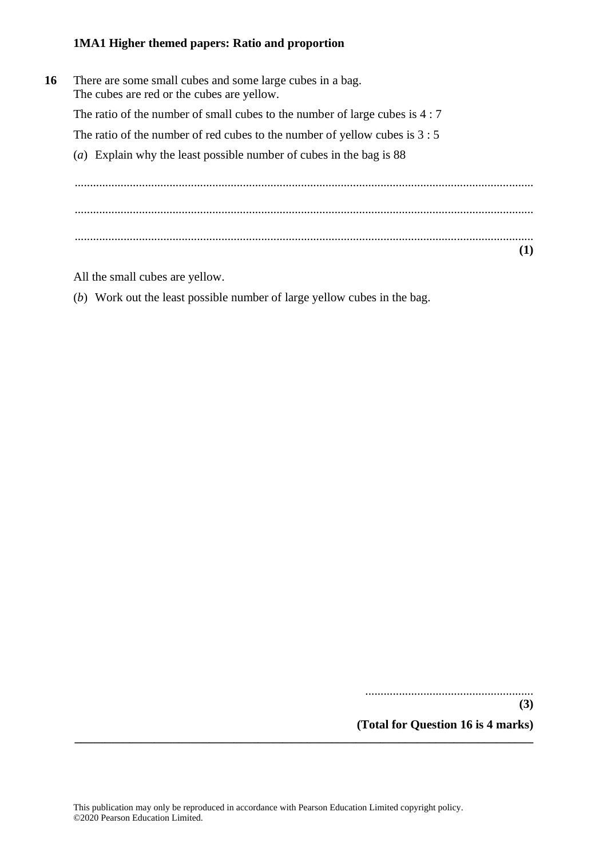**16** There are some small cubes and some large cubes in a bag. The cubes are red or the cubes are yellow. The ratio of the number of small cubes to the number of large cubes is 4 : 7 The ratio of the number of red cubes to the number of yellow cubes is 3 : 5 (*a*) Explain why the least possible number of cubes in the bag is 88 ...................................................................................................................................................... ...................................................................................................................................................... ...................................................................................................................................................... **(1)**

All the small cubes are yellow.

(*b*) Work out the least possible number of large yellow cubes in the bag.

.......................................................

**(3) (Total for Question 16 is 4 marks) \_\_\_\_\_\_\_\_\_\_\_\_\_\_\_\_\_\_\_\_\_\_\_\_\_\_\_\_\_\_\_\_\_\_\_\_\_\_\_\_\_\_\_\_\_\_\_\_\_\_\_\_\_\_\_\_\_\_\_\_\_\_\_\_\_\_\_\_\_\_\_\_\_\_\_**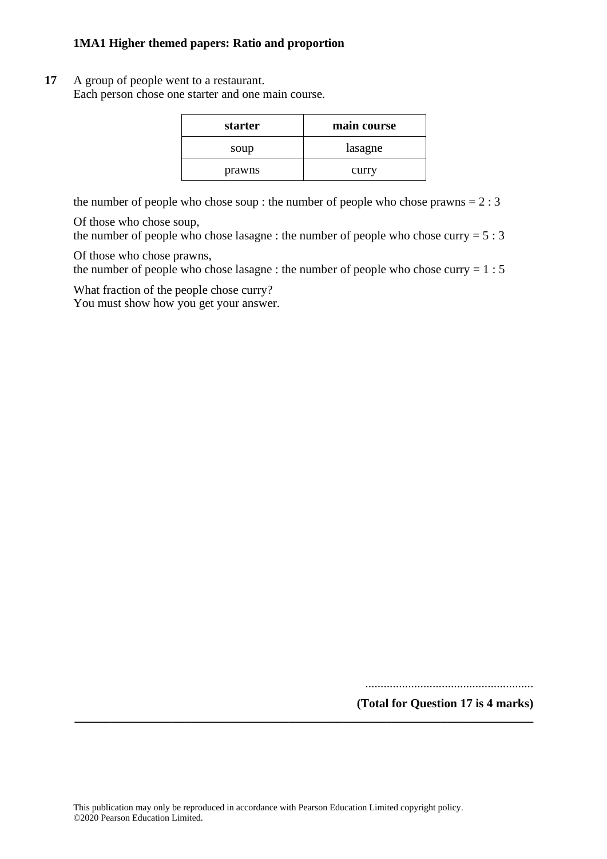#### **17** A group of people went to a restaurant.

Each person chose one starter and one main course.

| starter | main course |
|---------|-------------|
| soup    | lasagne     |
| prawns  | curry       |

the number of people who chose soup : the number of people who chose prawns  $= 2 : 3$ 

Of those who chose soup,

the number of people who chose lasagne : the number of people who chose curry  $= 5 : 3$ 

Of those who chose prawns,

the number of people who chose lasagne : the number of people who chose curry  $= 1:5$ 

What fraction of the people chose curry?

You must show how you get your answer.

.......................................................

**(Total for Question 17 is 4 marks) \_\_\_\_\_\_\_\_\_\_\_\_\_\_\_\_\_\_\_\_\_\_\_\_\_\_\_\_\_\_\_\_\_\_\_\_\_\_\_\_\_\_\_\_\_\_\_\_\_\_\_\_\_\_\_\_\_\_\_\_\_\_\_\_\_\_\_\_\_\_\_\_\_\_\_**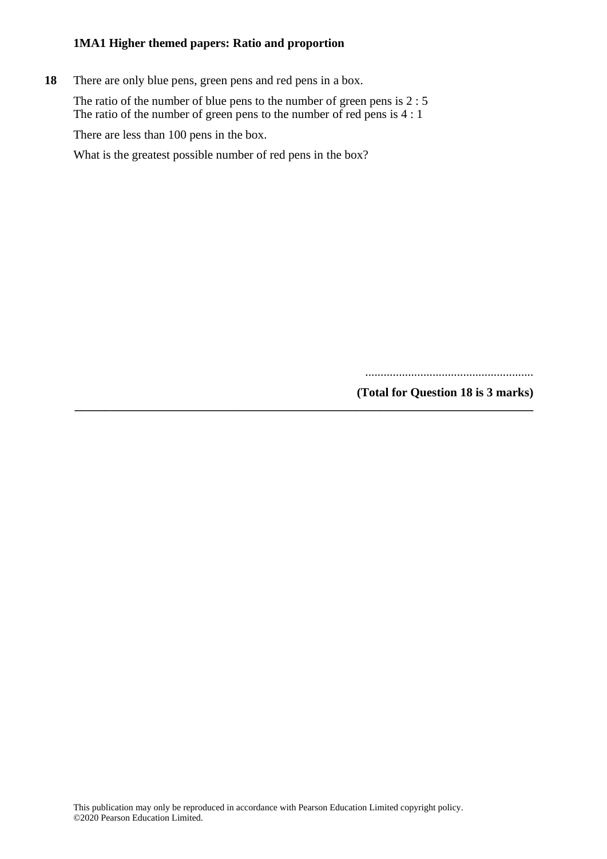**18** There are only blue pens, green pens and red pens in a box.

The ratio of the number of blue pens to the number of green pens is 2 : 5 The ratio of the number of green pens to the number of red pens is  $4:1$ 

**\_\_\_\_\_\_\_\_\_\_\_\_\_\_\_\_\_\_\_\_\_\_\_\_\_\_\_\_\_\_\_\_\_\_\_\_\_\_\_\_\_\_\_\_\_\_\_\_\_\_\_\_\_\_\_\_\_\_\_\_\_\_\_\_\_\_\_\_\_\_\_\_\_\_\_**

There are less than 100 pens in the box.

What is the greatest possible number of red pens in the box?

.......................................................

**(Total for Question 18 is 3 marks)**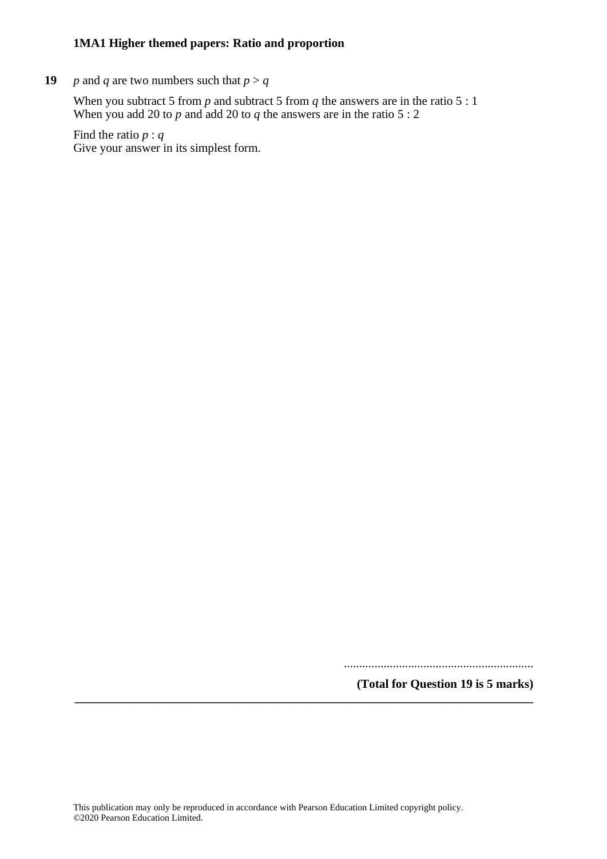**19** *p* and *q* are two numbers such that  $p > q$ 

When you subtract 5 from *p* and subtract 5 from *q* the answers are in the ratio 5 : 1 When you add 20 to  $p$  and add 20 to  $q$  the answers are in the ratio 5 : 2

Find the ratio *p* : *q* Give your answer in its simplest form.

..............................................................

**(Total for Question 19 is 5 marks) \_\_\_\_\_\_\_\_\_\_\_\_\_\_\_\_\_\_\_\_\_\_\_\_\_\_\_\_\_\_\_\_\_\_\_\_\_\_\_\_\_\_\_\_\_\_\_\_\_\_\_\_\_\_\_\_\_\_\_\_\_\_\_\_\_\_\_\_\_\_\_\_\_\_\_**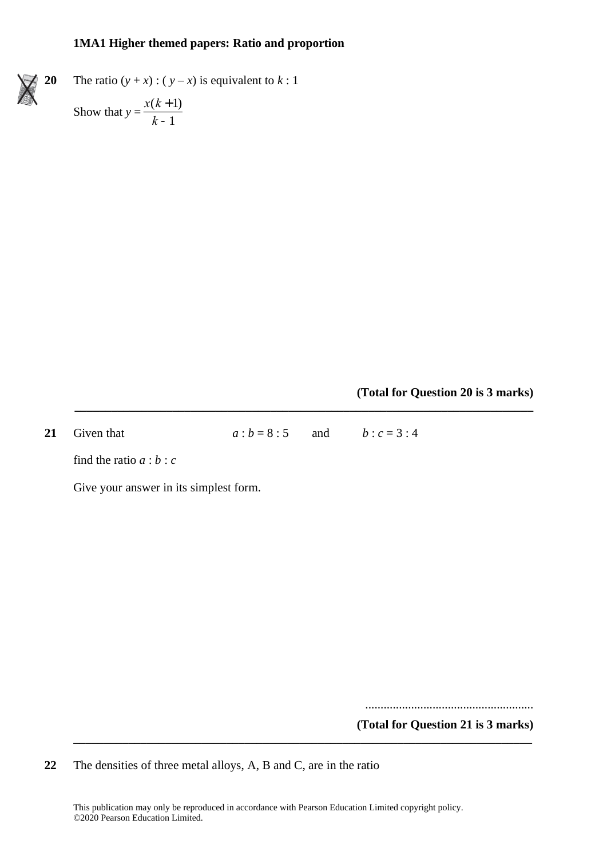**20** The ratio  $(y + x)$ :  $(y - x)$  is equivalent to  $k: 1$ 

Show that  $y = \frac{x(k+1)}{1+x}$ *k* -1

**(Total for Question 20 is 3 marks)**

**21** Given that  $a : b = 8 : 5$  and  $b : c = 3 : 4$ 

**\_\_\_\_\_\_\_\_\_\_\_\_\_\_\_\_\_\_\_\_\_\_\_\_\_\_\_\_\_\_\_\_\_\_\_\_\_\_\_\_\_\_\_\_\_\_\_\_\_\_\_\_\_\_\_\_\_\_\_\_\_\_\_\_\_\_\_\_\_\_\_\_\_\_\_**

find the ratio *a* : *b* : *c*

Give your answer in its simplest form.

.......................................................

**(Total for Question 21 is 3 marks)**

**22** The densities of three metal alloys, A, B and C, are in the ratio

This publication may only be reproduced in accordance with Pearson Education Limited copyright policy. ©2020 Pearson Education Limited.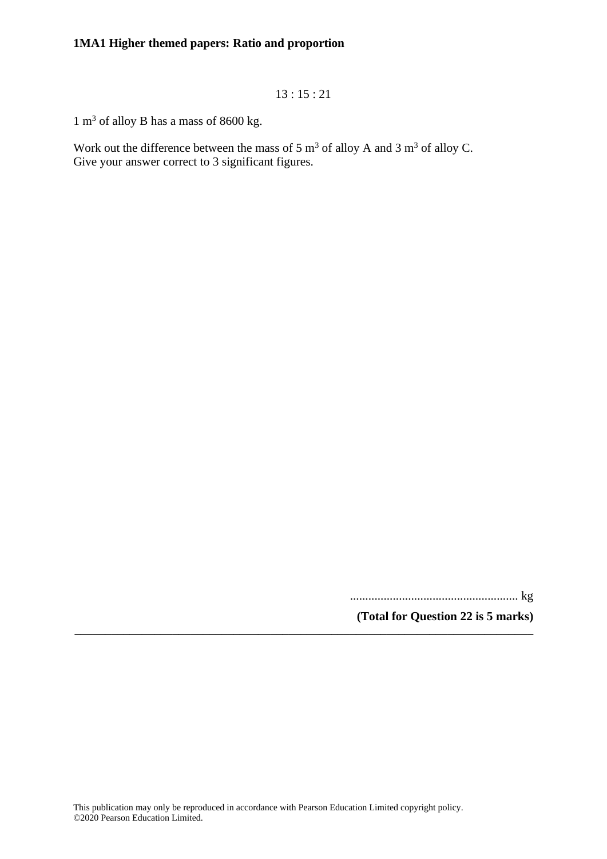13 : 15 : 21

 $1 \text{ m}^3$  of alloy B has a mass of 8600 kg.

Work out the difference between the mass of 5  $\text{m}^3$  of alloy A and 3  $\text{m}^3$  of alloy C. Give your answer correct to 3 significant figures.

....................................................... kg

**(Total for Question 22 is 5 marks) \_\_\_\_\_\_\_\_\_\_\_\_\_\_\_\_\_\_\_\_\_\_\_\_\_\_\_\_\_\_\_\_\_\_\_\_\_\_\_\_\_\_\_\_\_\_\_\_\_\_\_\_\_\_\_\_\_\_\_\_\_\_\_\_\_\_\_\_\_\_\_\_\_\_\_**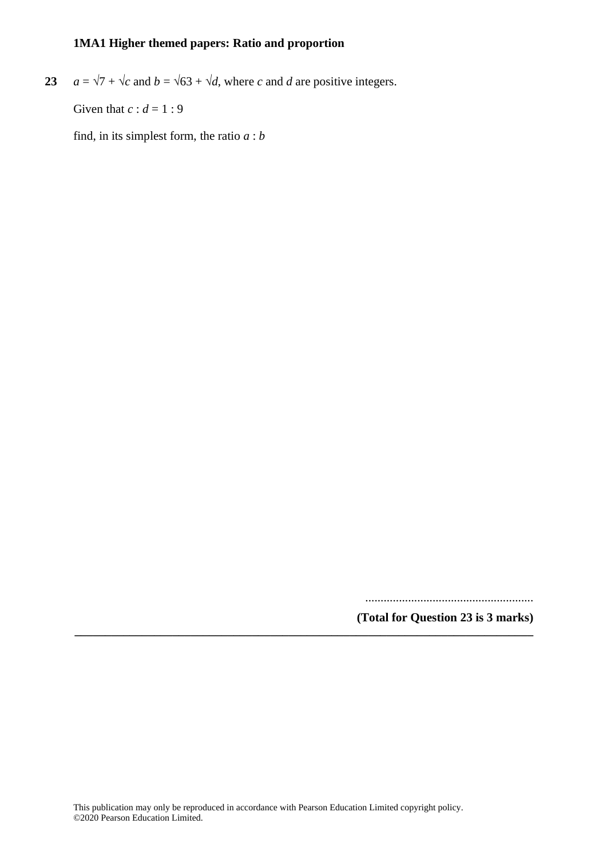**23**  $a = \sqrt{7} + \sqrt{c}$  and  $b = \sqrt{63} + \sqrt{d}$ , where *c* and *d* are positive integers.

Given that  $c : d = 1 : 9$ 

find, in its simplest form, the ratio *a* : *b*

.......................................................

**(Total for Question 23 is 3 marks) \_\_\_\_\_\_\_\_\_\_\_\_\_\_\_\_\_\_\_\_\_\_\_\_\_\_\_\_\_\_\_\_\_\_\_\_\_\_\_\_\_\_\_\_\_\_\_\_\_\_\_\_\_\_\_\_\_\_\_\_\_\_\_\_\_\_\_\_\_\_\_\_\_\_\_**